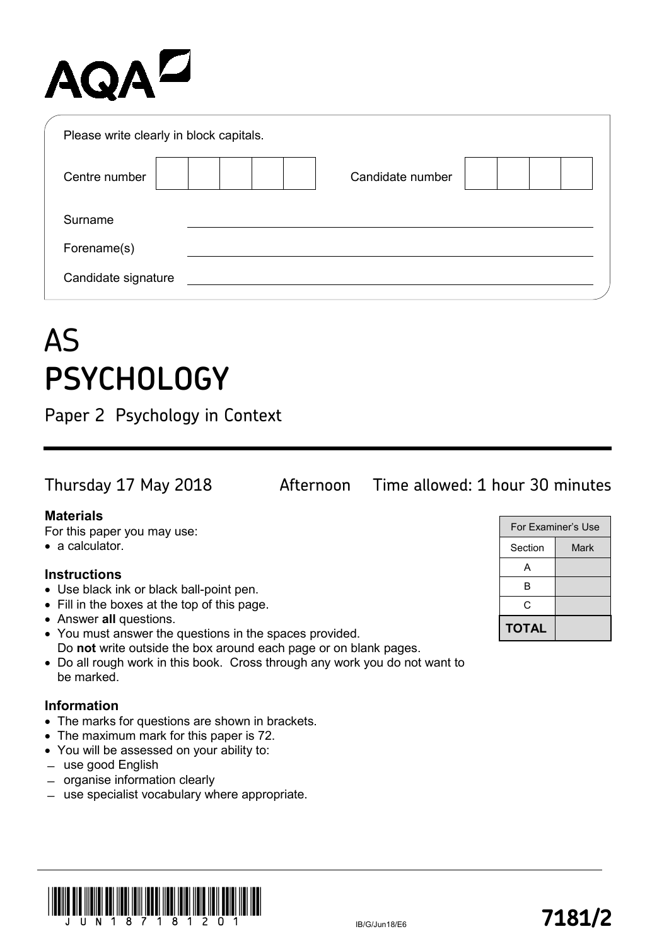# AQAZ

| Please write clearly in block capitals. |                  |  |
|-----------------------------------------|------------------|--|
| Centre number                           | Candidate number |  |
| Surname                                 |                  |  |
| Forename(s)                             |                  |  |
| Candidate signature                     |                  |  |

# AS **PSYCHOLOGY**

Paper 2 Psychology in Context

| Thursday 17 May 2018 |  |  |  |
|----------------------|--|--|--|
|----------------------|--|--|--|

Afternoon Time allowed: 1 hour 30 minutes

# **Materials**

For this paper you may use: • a calculator.

# **Instructions**

- Use black ink or black ball-point pen.
- Fill in the boxes at the top of this page.
- Answer **all** questions.
- You must answer the questions in the spaces provided. Do **not** write outside the box around each page or on blank pages.
- Do all rough work in this book. Cross through any work you do not want to be marked.

# **Information**

- The marks for questions are shown in brackets.
- The maximum mark for this paper is 72.
- You will be assessed on your ability to:
- ̶ use good English
- ̶ organise information clearly
- ̶ use specialist vocabulary where appropriate.

| For Examiner's Use |      |  |  |
|--------------------|------|--|--|
| Section            | Mark |  |  |
| А                  |      |  |  |
| в                  |      |  |  |
| C                  |      |  |  |
| <b>TOTAL</b>       |      |  |  |

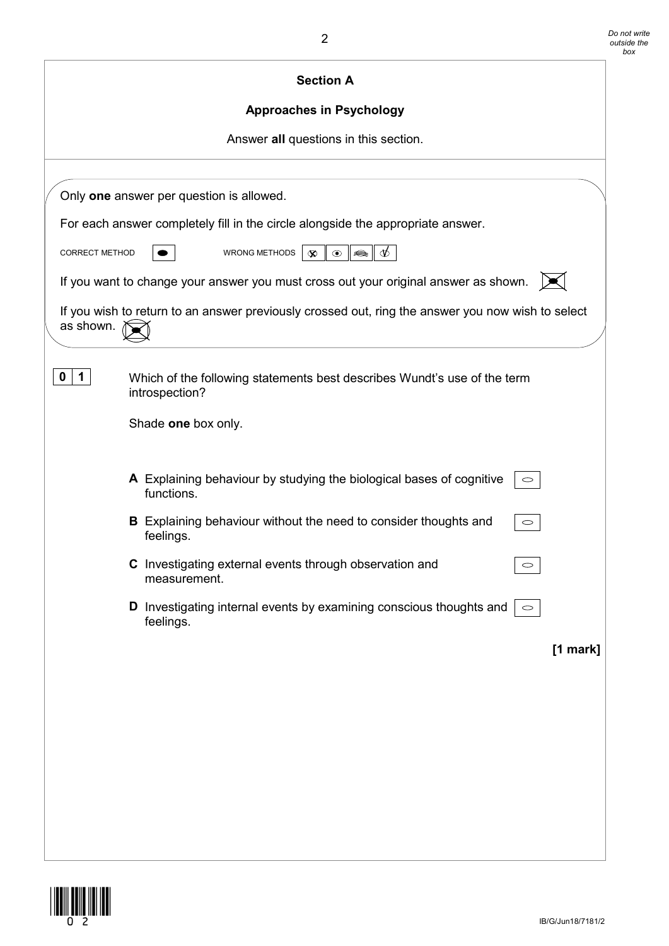| <b>Section A</b>                                                                                               |          |
|----------------------------------------------------------------------------------------------------------------|----------|
| <b>Approaches in Psychology</b>                                                                                |          |
| Answer all questions in this section.                                                                          |          |
|                                                                                                                |          |
| Only one answer per question is allowed.                                                                       |          |
| For each answer completely fill in the circle alongside the appropriate answer.                                |          |
| <b>CORRECT METHOD</b><br><b>WRONG METHODS</b><br>$\pmb{\otimes}$<br>$\circledcirc$<br>⊜                        |          |
| If you want to change your answer you must cross out your original answer as shown.                            |          |
| If you wish to return to an answer previously crossed out, ring the answer you now wish to select<br>as shown. |          |
| $\mathbf 1$<br>Which of the following statements best describes Wundt's use of the term<br>introspection?      |          |
| Shade one box only.                                                                                            |          |
| A Explaining behaviour by studying the biological bases of cognitive<br>$\circ$<br>functions.                  |          |
| <b>B</b> Explaining behaviour without the need to consider thoughts and<br>$\circ$<br>feelings.                |          |
| C Investigating external events through observation and<br>$\circ$<br>measurement.                             |          |
| D Investigating internal events by examining conscious thoughts and<br>$\circ$<br>feelings.                    |          |
|                                                                                                                | [1 mark] |
|                                                                                                                |          |
|                                                                                                                |          |
|                                                                                                                |          |
|                                                                                                                |          |
|                                                                                                                |          |
|                                                                                                                |          |
|                                                                                                                |          |

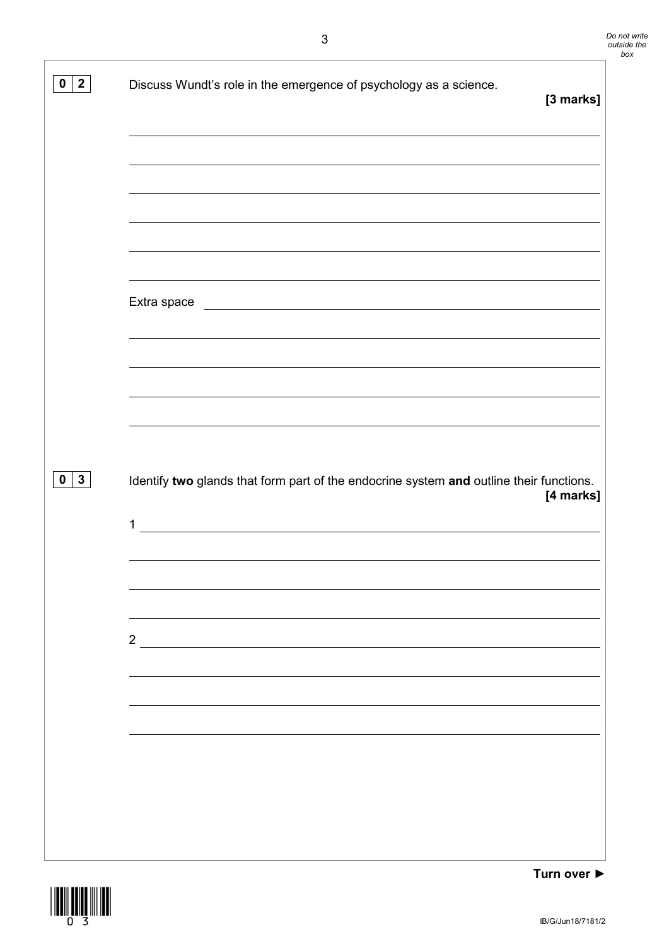| 2 <sup>1</sup><br>$\mathbf 0$  | Discuss Wundt's role in the emergence of psychology as a science.<br>[3 marks]                                                                                                                                                       |
|--------------------------------|--------------------------------------------------------------------------------------------------------------------------------------------------------------------------------------------------------------------------------------|
|                                |                                                                                                                                                                                                                                      |
|                                |                                                                                                                                                                                                                                      |
|                                |                                                                                                                                                                                                                                      |
|                                | Extra space <u>example and the set of the set of the set of the set of the set of the set of the set of the set of the set of the set of the set of the set of the set of the set of the set of the set of the set of the set of</u> |
|                                | ,我们也不会有什么。""我们的人,我们也不会有什么?""我们的人,我们也不会有什么?""我们的人,我们也不会有什么?""我们的人,我们也不会有什么?""我们的人                                                                                                                                                     |
|                                |                                                                                                                                                                                                                                      |
|                                |                                                                                                                                                                                                                                      |
|                                |                                                                                                                                                                                                                                      |
| $3\phantom{a}$<br>$\mathbf{0}$ | Identify two glands that form part of the endocrine system and outline their functions.<br>[4 marks]                                                                                                                                 |
|                                | 1<br><u> 1989 - Jan Stein Stein Stein Stein Stein Stein Stein Stein Stein Stein Stein Stein Stein Stein Stein Stein S</u>                                                                                                            |
|                                |                                                                                                                                                                                                                                      |
|                                | $2 \overline{\phantom{a} \phantom{a}}$                                                                                                                                                                                               |
|                                |                                                                                                                                                                                                                                      |
|                                |                                                                                                                                                                                                                                      |
|                                |                                                                                                                                                                                                                                      |

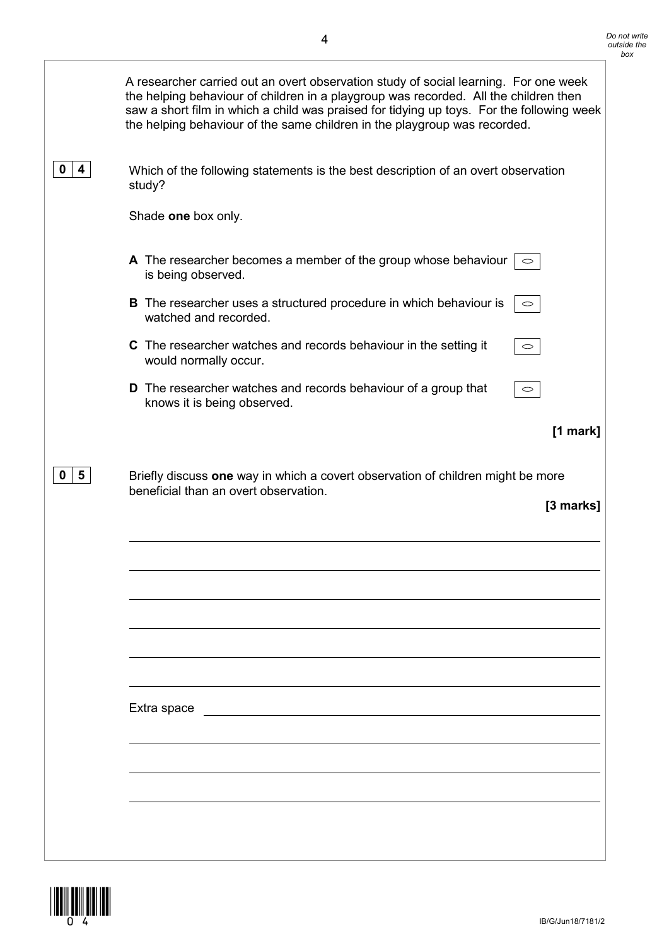|                      | A researcher carried out an overt observation study of social learning. For one week<br>the helping behaviour of children in a playgroup was recorded. All the children then<br>saw a short film in which a child was praised for tidying up toys. For the following week<br>the helping behaviour of the same children in the playgroup was recorded. |
|----------------------|--------------------------------------------------------------------------------------------------------------------------------------------------------------------------------------------------------------------------------------------------------------------------------------------------------------------------------------------------------|
|                      | Which of the following statements is the best description of an overt observation<br>study?                                                                                                                                                                                                                                                            |
|                      | Shade one box only.                                                                                                                                                                                                                                                                                                                                    |
|                      | A The researcher becomes a member of the group whose behaviour<br>$\circ$<br>is being observed.                                                                                                                                                                                                                                                        |
|                      | <b>B</b> The researcher uses a structured procedure in which behaviour is<br>$\circ$<br>watched and recorded.                                                                                                                                                                                                                                          |
|                      | C The researcher watches and records behaviour in the setting it<br>$\circ$<br>would normally occur.                                                                                                                                                                                                                                                   |
|                      | <b>D</b> The researcher watches and records behaviour of a group that<br>$\circlearrowright$<br>knows it is being observed.                                                                                                                                                                                                                            |
|                      | $[1$ mark]                                                                                                                                                                                                                                                                                                                                             |
| $5\overline{)}$<br>0 | Briefly discuss one way in which a covert observation of children might be more<br>beneficial than an overt observation.                                                                                                                                                                                                                               |
|                      | [3 marks]                                                                                                                                                                                                                                                                                                                                              |
|                      |                                                                                                                                                                                                                                                                                                                                                        |
|                      |                                                                                                                                                                                                                                                                                                                                                        |
|                      |                                                                                                                                                                                                                                                                                                                                                        |
|                      |                                                                                                                                                                                                                                                                                                                                                        |
|                      | Extra space                                                                                                                                                                                                                                                                                                                                            |
|                      |                                                                                                                                                                                                                                                                                                                                                        |
|                      |                                                                                                                                                                                                                                                                                                                                                        |
|                      |                                                                                                                                                                                                                                                                                                                                                        |

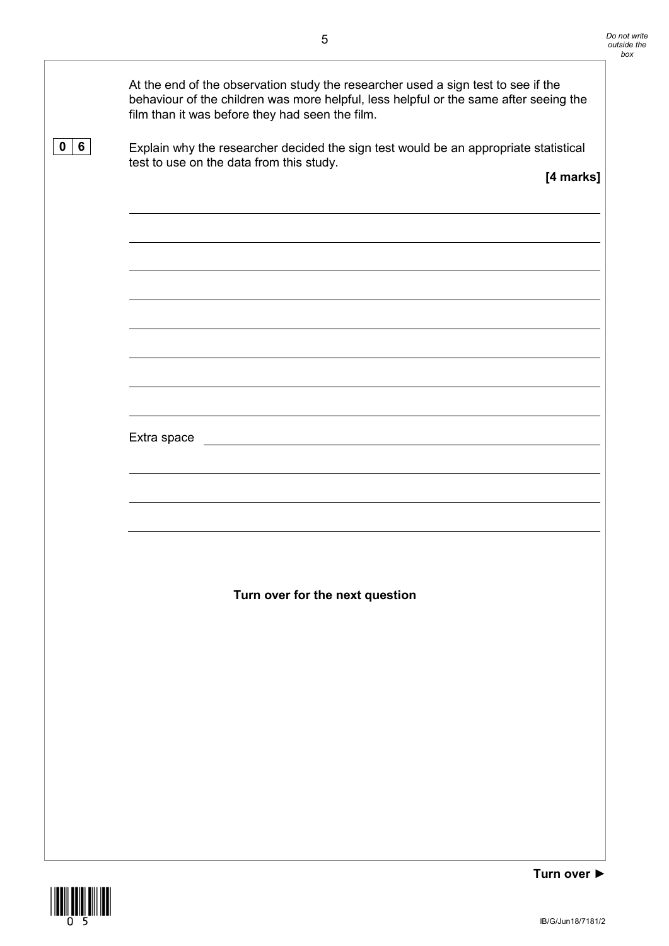|        | At the end of the observation study the researcher used a sign test to see if the<br>behaviour of the children was more helpful, less helpful or the same after seeing the<br>film than it was before they had seen the film. |
|--------|-------------------------------------------------------------------------------------------------------------------------------------------------------------------------------------------------------------------------------|
| 6<br>0 | Explain why the researcher decided the sign test would be an appropriate statistical<br>test to use on the data from this study.<br>[4 marks]                                                                                 |
|        |                                                                                                                                                                                                                               |
|        |                                                                                                                                                                                                                               |
|        |                                                                                                                                                                                                                               |
|        |                                                                                                                                                                                                                               |
|        |                                                                                                                                                                                                                               |
|        |                                                                                                                                                                                                                               |
|        | Turn over for the next question                                                                                                                                                                                               |
|        |                                                                                                                                                                                                                               |
|        |                                                                                                                                                                                                                               |
|        |                                                                                                                                                                                                                               |
|        |                                                                                                                                                                                                                               |

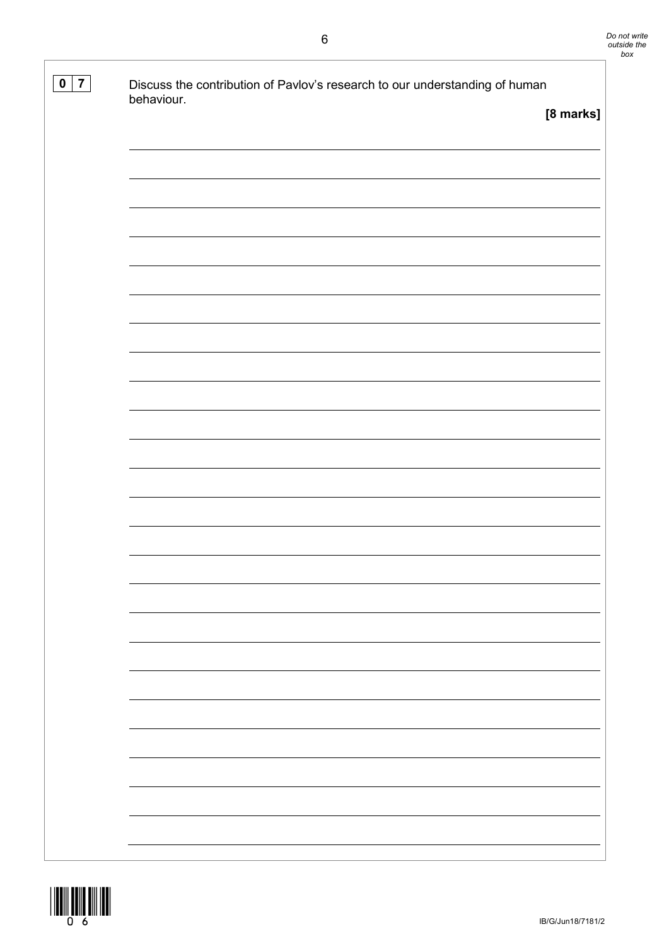| $\vert$ 7<br>$\mathbf{0}$ | Discuss the contribution of Pavlov's research to our understanding of human<br>behaviour. |           |  |  |  |
|---------------------------|-------------------------------------------------------------------------------------------|-----------|--|--|--|
|                           |                                                                                           | [8 marks] |  |  |  |
|                           |                                                                                           |           |  |  |  |
|                           |                                                                                           |           |  |  |  |
|                           |                                                                                           |           |  |  |  |
|                           |                                                                                           |           |  |  |  |
|                           |                                                                                           |           |  |  |  |
|                           |                                                                                           |           |  |  |  |
|                           |                                                                                           |           |  |  |  |
|                           |                                                                                           |           |  |  |  |
|                           |                                                                                           |           |  |  |  |
|                           |                                                                                           |           |  |  |  |
|                           |                                                                                           |           |  |  |  |
|                           |                                                                                           |           |  |  |  |
|                           |                                                                                           |           |  |  |  |
|                           |                                                                                           |           |  |  |  |
|                           |                                                                                           |           |  |  |  |
|                           |                                                                                           |           |  |  |  |
|                           |                                                                                           |           |  |  |  |
|                           |                                                                                           |           |  |  |  |
|                           |                                                                                           |           |  |  |  |
|                           |                                                                                           |           |  |  |  |
|                           |                                                                                           |           |  |  |  |

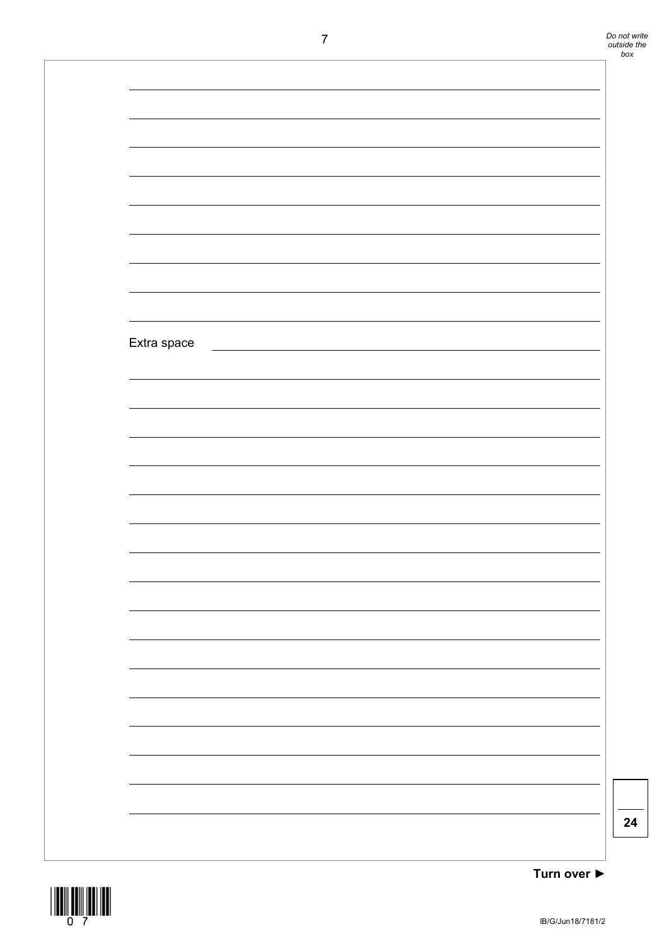| Extra space |  |  |
|-------------|--|--|
|             |  |  |
|             |  |  |
|             |  |  |
|             |  |  |
|             |  |  |
|             |  |  |
|             |  |  |
|             |  |  |
|             |  |  |
|             |  |  |
|             |  |  |
|             |  |  |
|             |  |  |
|             |  |  |
|             |  |  |
|             |  |  |
|             |  |  |
|             |  |  |
|             |  |  |
|             |  |  |
|             |  |  |
|             |  |  |
|             |  |  |
|             |  |  |
|             |  |  |
|             |  |  |
|             |  |  |
|             |  |  |
|             |  |  |
|             |  |  |



**24**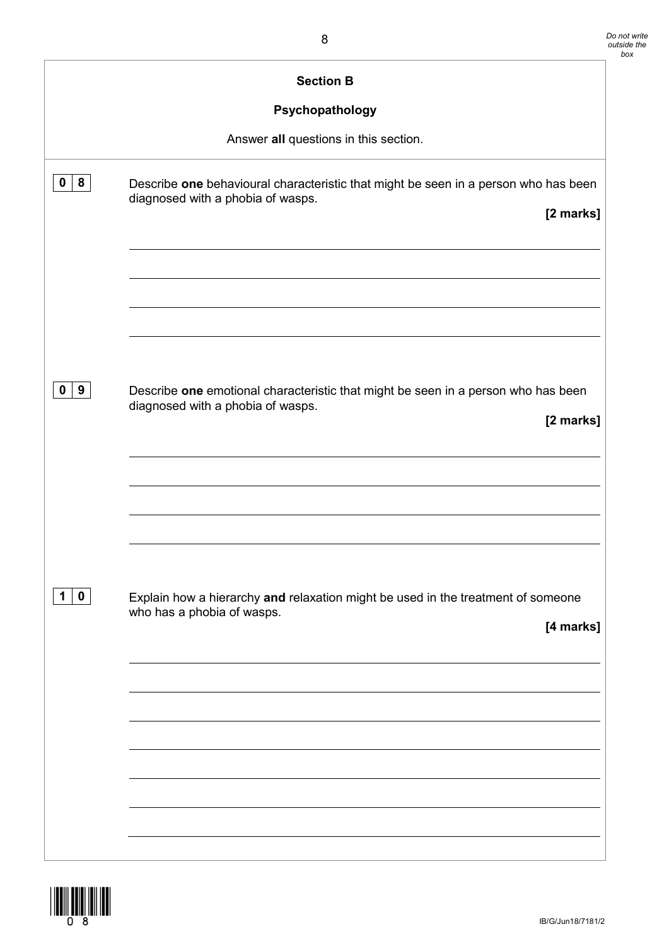**[2 marks]**

| Describe one emotional characteristic that might be seen in a person who has been<br>diagnosed with a phobia of wasps. | [2 marks] |
|------------------------------------------------------------------------------------------------------------------------|-----------|
|                                                                                                                        |           |
| Explain how a hierarchy and relaxation might be used in the treatment of someone<br>who has a phobia of wasps.         | [4 marks] |
|                                                                                                                        |           |
|                                                                                                                        |           |

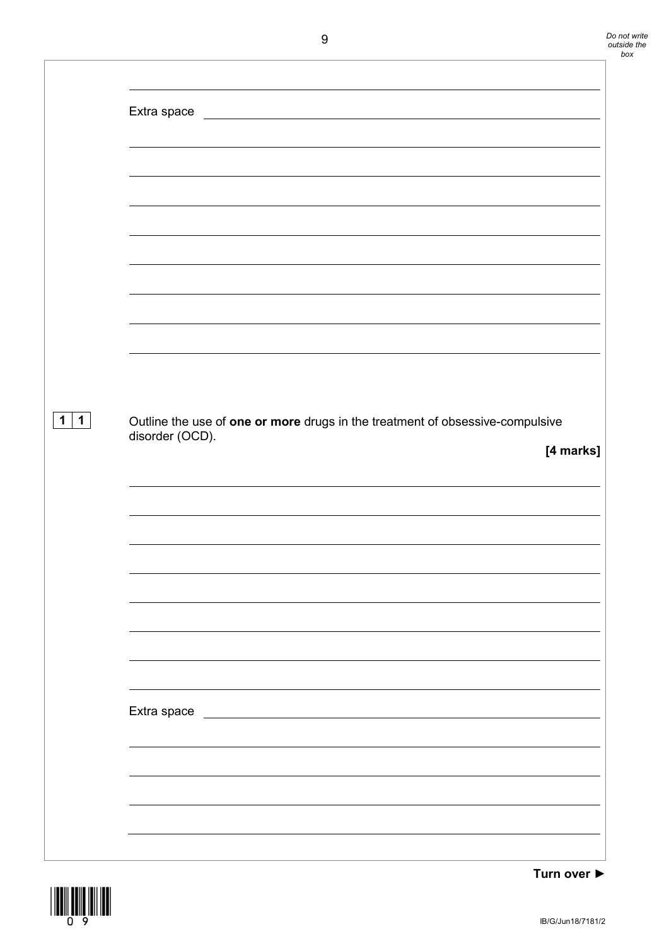|                           | Extra space<br><u> 1980 - Johann Stoff, fransk politik (d. 1980)</u>          |
|---------------------------|-------------------------------------------------------------------------------|
|                           |                                                                               |
|                           |                                                                               |
|                           |                                                                               |
|                           |                                                                               |
|                           |                                                                               |
|                           |                                                                               |
|                           |                                                                               |
|                           |                                                                               |
|                           |                                                                               |
|                           |                                                                               |
|                           |                                                                               |
|                           |                                                                               |
|                           |                                                                               |
| $\mathbf{1}$<br>$\vert$ 1 | Outline the use of one or more drugs in the treatment of obsessive-compulsive |
|                           | disorder (OCD).                                                               |
|                           | [4 marks]                                                                     |
|                           |                                                                               |
|                           |                                                                               |
|                           |                                                                               |
|                           |                                                                               |
|                           |                                                                               |
|                           |                                                                               |
|                           |                                                                               |
|                           |                                                                               |
|                           |                                                                               |
|                           |                                                                               |
|                           | Extra space                                                                   |
|                           |                                                                               |
|                           |                                                                               |
|                           |                                                                               |
|                           |                                                                               |
|                           |                                                                               |
|                           |                                                                               |
|                           |                                                                               |

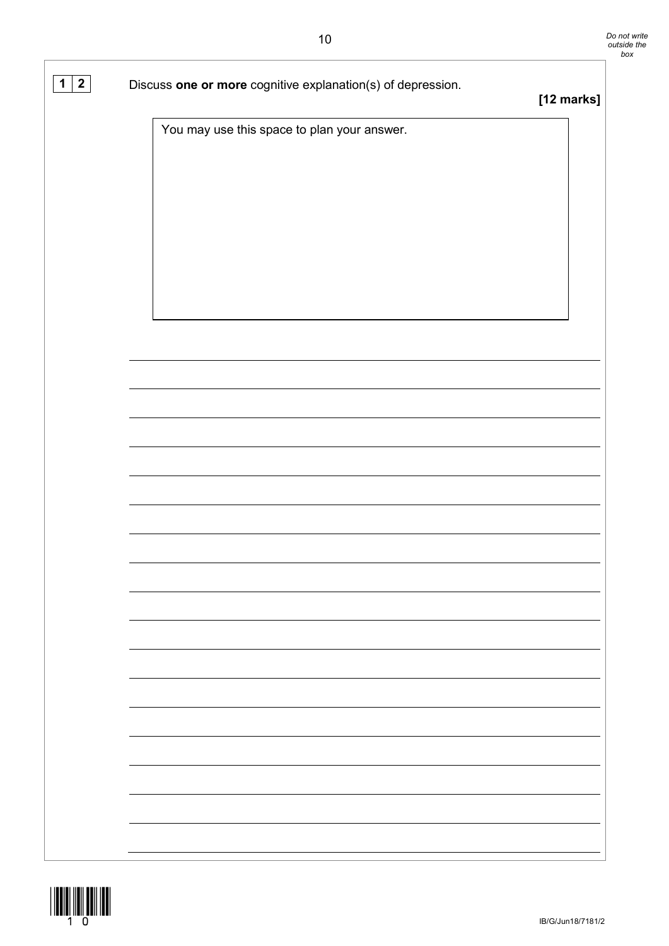| $2\overline{ }$<br>1 | Discuss one or more cognitive explanation(s) of depression. | [12 marks] |
|----------------------|-------------------------------------------------------------|------------|
|                      | You may use this space to plan your answer.                 |            |
|                      |                                                             |            |
|                      |                                                             |            |
|                      |                                                             |            |
|                      |                                                             |            |
|                      |                                                             |            |
|                      |                                                             |            |
|                      |                                                             |            |
|                      |                                                             |            |
|                      |                                                             |            |
|                      |                                                             |            |
|                      |                                                             |            |
|                      |                                                             |            |
|                      |                                                             |            |
|                      |                                                             |            |
|                      |                                                             |            |
|                      |                                                             |            |
|                      |                                                             |            |
|                      |                                                             |            |
|                      |                                                             |            |
|                      |                                                             |            |
|                      |                                                             |            |
|                      |                                                             |            |
|                      |                                                             |            |
|                      |                                                             |            |
|                      |                                                             |            |
|                      |                                                             |            |

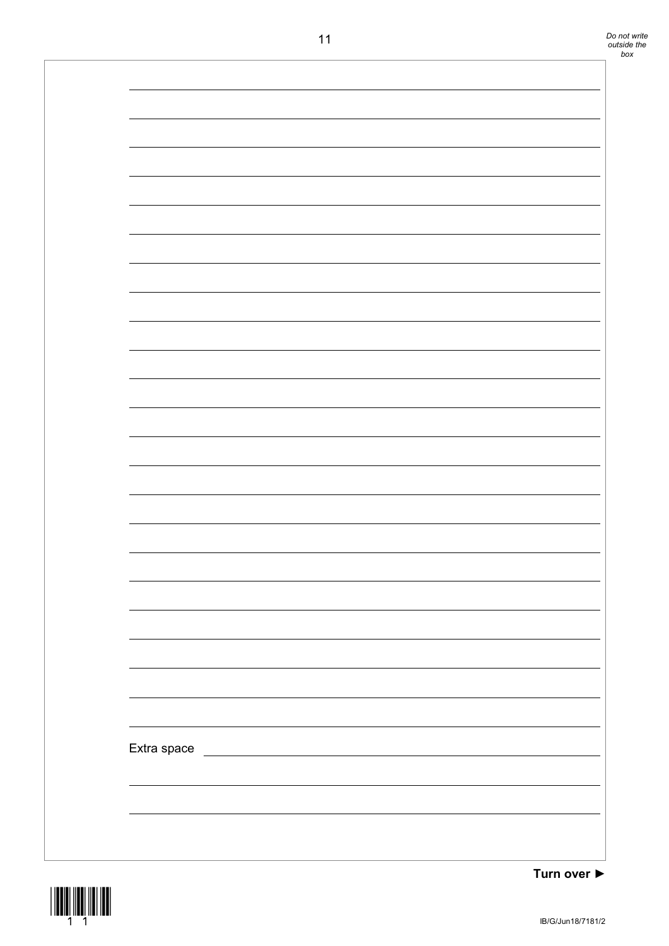| Extra space |
|-------------|
|             |
|             |
|             |
|             |
|             |
|             |
|             |
|             |
|             |
|             |

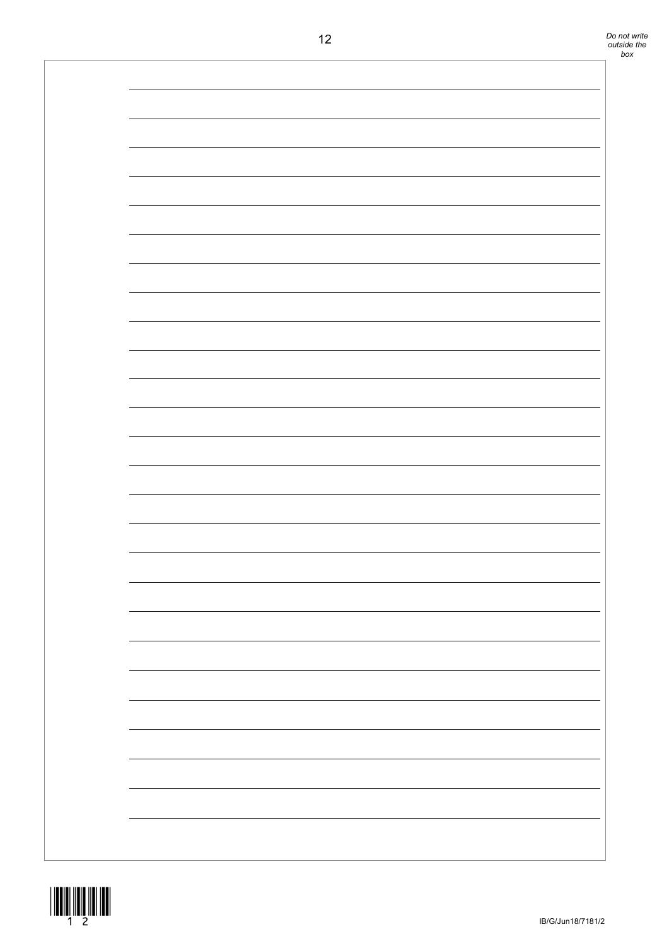

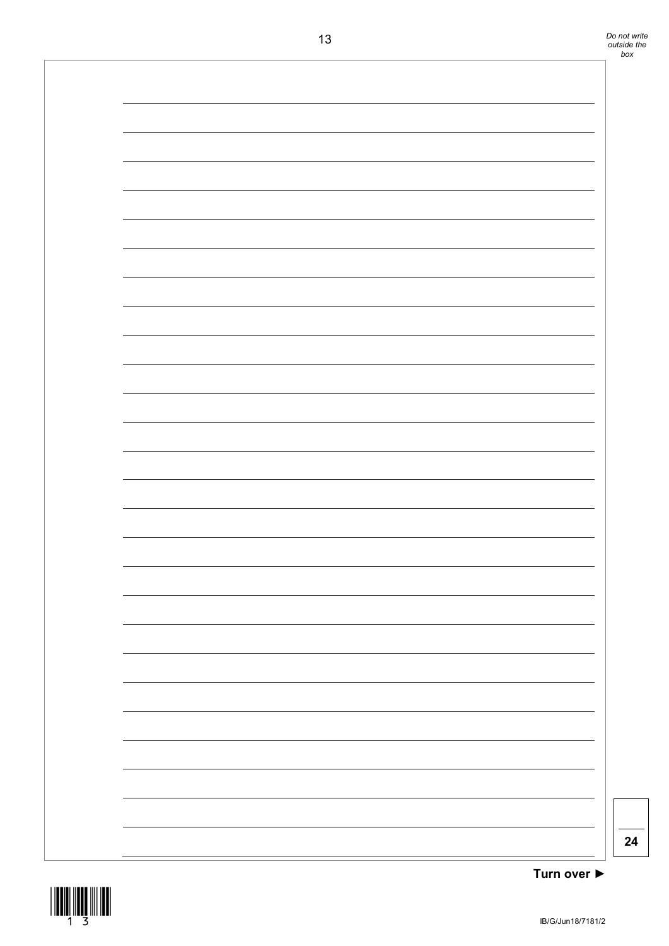



**24**

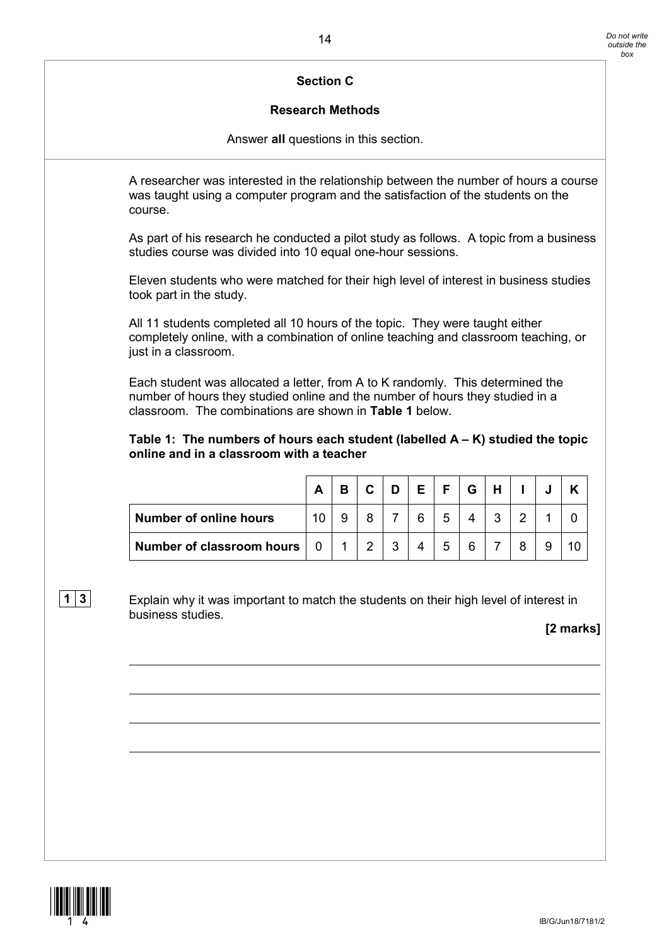### **Section C**

#### **Research Methods**

Answer **all** questions in this section.

A researcher was interested in the relationship between the number of hours a course was taught using a computer program and the satisfaction of the students on the course.

As part of his research he conducted a pilot study as follows. A topic from a business studies course was divided into 10 equal one-hour sessions.

Eleven students who were matched for their high level of interest in business studies took part in the study.

All 11 students completed all 10 hours of the topic. They were taught either completely online, with a combination of online teaching and classroom teaching, or just in a classroom.

Each student was allocated a letter, from A to K randomly. This determined the number of hours they studied online and the number of hours they studied in a classroom. The combinations are shown in **Table 1** below.

#### **Table 1: The numbers of hours each student (labelled A – K) studied the topic online and in a classroom with a teacher**

|                               | А  |   |   | E I | F. | G |              |  |  |
|-------------------------------|----|---|---|-----|----|---|--------------|--|--|
| <b>Number of online hours</b> | 10 | 8 |   | 6   | 5  |   | $\mathbf{z}$ |  |  |
| Number of classroom hours     | 10 | າ | 2 |     | 5  | 6 |              |  |  |

**1 3** Explain why it was important to match the students on their high level of interest in business studies.

**[2 marks]**

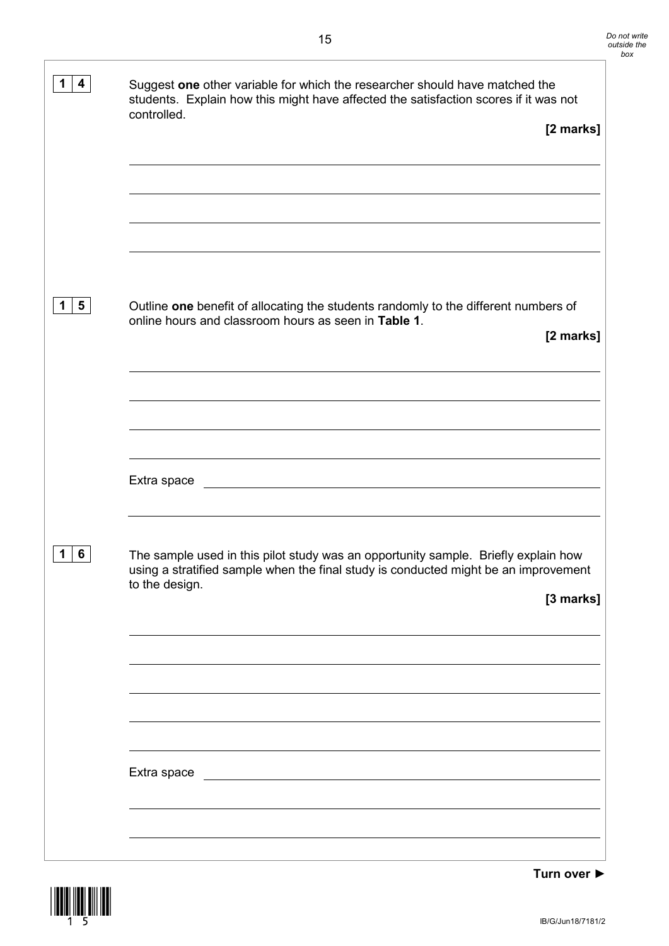| 4<br>1               | Suggest one other variable for which the researcher should have matched the<br>students. Explain how this might have affected the satisfaction scores if it was not<br>controlled.<br>[2 marks]                                                         |
|----------------------|---------------------------------------------------------------------------------------------------------------------------------------------------------------------------------------------------------------------------------------------------------|
| $5\overline{)}$<br>1 | Outline one benefit of allocating the students randomly to the different numbers of<br>online hours and classroom hours as seen in Table 1.<br>[2 marks]                                                                                                |
|                      |                                                                                                                                                                                                                                                         |
| 6                    | Extra space<br><u> 1980 - Andrea Barbara, amerikan personal (h. 1980).</u><br>The sample used in this pilot study was an opportunity sample. Briefly explain how<br>using a stratified sample when the final study is conducted might be an improvement |
|                      | to the design.<br>[3 marks]                                                                                                                                                                                                                             |
|                      | Extra space<br><u> 1980 - Johann Stein, marwolaethau (b. 1980)</u>                                                                                                                                                                                      |

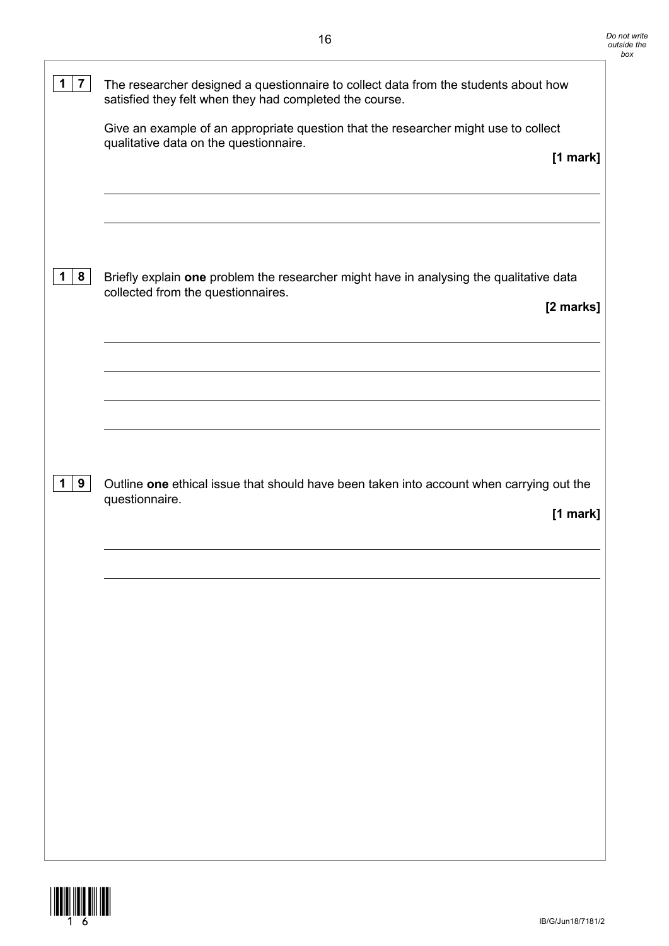| 7      | The researcher designed a questionnaire to collect data from the students about how<br>satisfied they felt when they had completed the course.<br>Give an example of an appropriate question that the researcher might use to collect |
|--------|---------------------------------------------------------------------------------------------------------------------------------------------------------------------------------------------------------------------------------------|
|        | qualitative data on the questionnaire.<br>[1 mark]                                                                                                                                                                                    |
| 8<br>1 | Briefly explain one problem the researcher might have in analysing the qualitative data<br>collected from the questionnaires.<br>[2 marks]                                                                                            |
| 9      | Outline one ethical issue that should have been taken into account when carrying out the<br>questionnaire.<br>[1 mark]                                                                                                                |
|        |                                                                                                                                                                                                                                       |

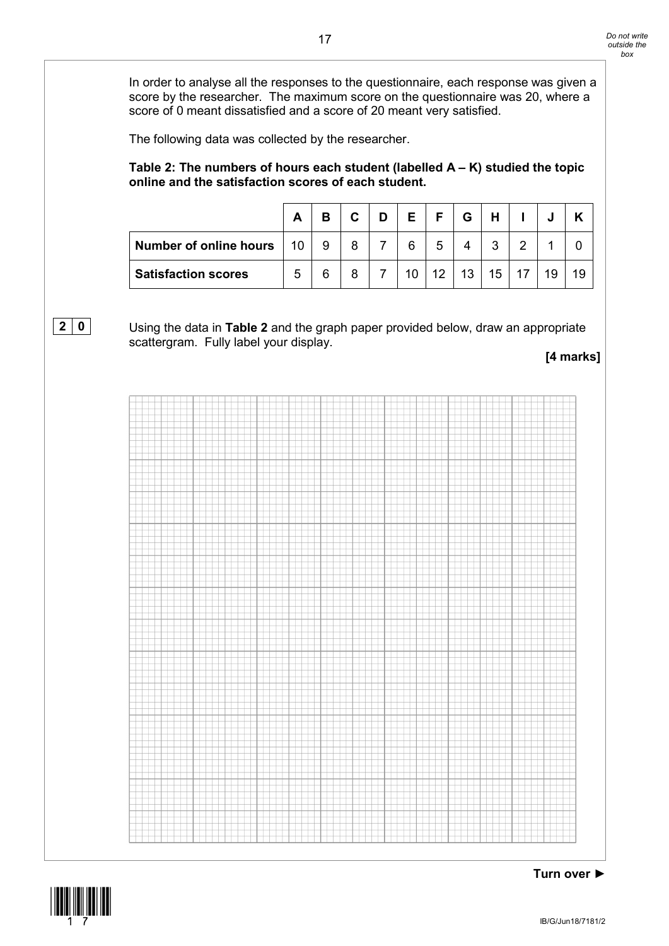In order to analyse all the responses to the questionnaire, each response was given a score by the researcher. The maximum score on the questionnaire was 20, where a score of 0 meant dissatisfied and a score of 20 meant very satisfied.

The following data was collected by the researcher.

**Table 2: The numbers of hours each student (labelled A – K) studied the topic online and the satisfaction scores of each student.**

|                               | A               | в | C | E.             | F. | G  |    |            |    |  |
|-------------------------------|-----------------|---|---|----------------|----|----|----|------------|----|--|
| <b>Number of online hours</b> | 10 <sup>°</sup> | 9 | 8 | 6              | 5  |    | 2  | $\sqrt{2}$ |    |  |
| <b>Satisfaction scores</b>    | 5               | 6 | 8 | $\overline{0}$ | 12 | 13 | 15 | ⇁          | 19 |  |

**2 0** Using the data in **Table 2** and the graph paper provided below, draw an appropriate scattergram. Fully label your display.

#### **[4 marks]**



**Turn over ►**

IB/G/Jun18/7181/2

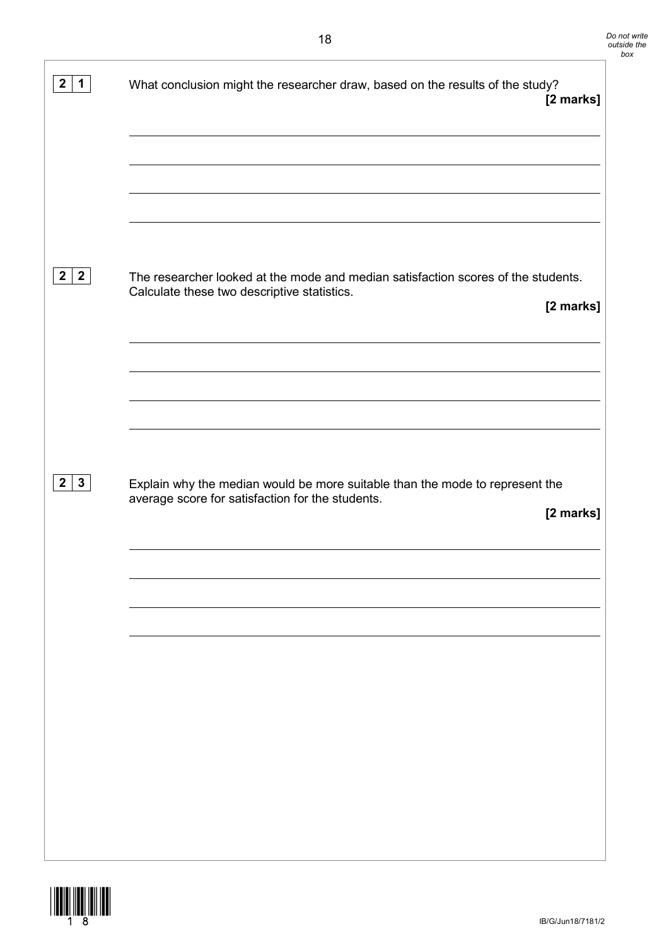| $\mathbf{2}$<br>$\vert$ 1 | What conclusion might the researcher draw, based on the results of the study?                                                    | [2 marks] |
|---------------------------|----------------------------------------------------------------------------------------------------------------------------------|-----------|
|                           |                                                                                                                                  |           |
|                           |                                                                                                                                  |           |
| 2 2                       | The researcher looked at the mode and median satisfaction scores of the students.<br>Calculate these two descriptive statistics. | [2 marks] |
|                           |                                                                                                                                  |           |
|                           |                                                                                                                                  |           |
| 2 3                       | Explain why the median would be more suitable than the mode to represent the<br>average score for satisfaction for the students. | [2 marks] |
|                           |                                                                                                                                  |           |
|                           |                                                                                                                                  |           |
|                           |                                                                                                                                  |           |
|                           |                                                                                                                                  |           |
|                           |                                                                                                                                  |           |

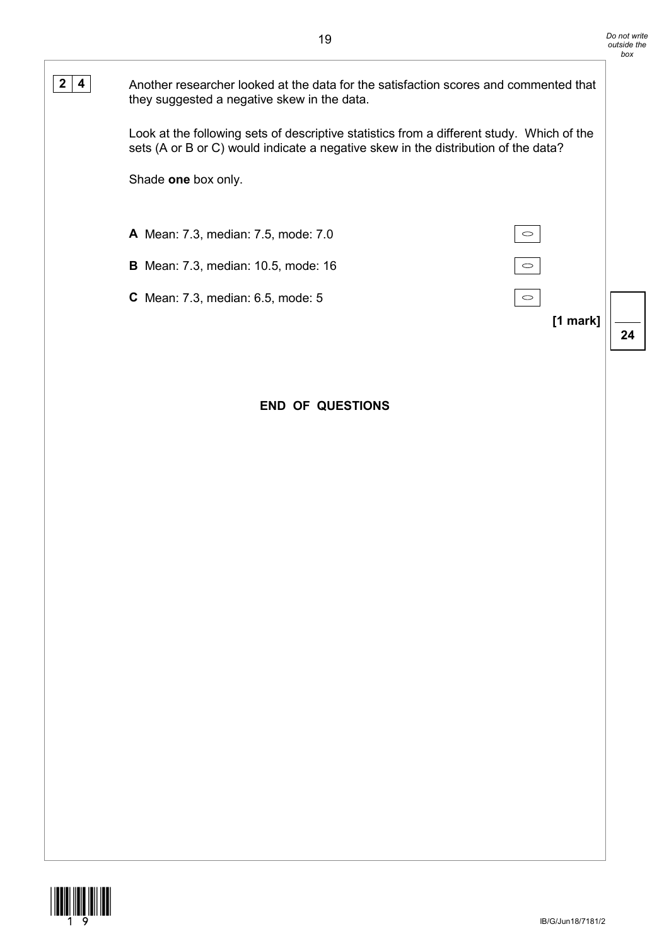**[1 mark]**

 $\circ$ 

 $\circ$ 

 $\circlearrowright$ 

**24**

**2 4** Another researcher looked at the data for the satisfaction scores and commented that they suggested a negative skew in the data.

> Look at the following sets of descriptive statistics from a different study. Which of the sets (A or B or C) would indicate a negative skew in the distribution of the data?

Shade **one** box only.

**A** Mean: 7.3, median: 7.5, mode: 7.0

**B** Mean: 7.3, median: 10.5, mode: 16

**C** Mean: 7.3, median: 6.5, mode: 5

**END OF QUESTIONS**